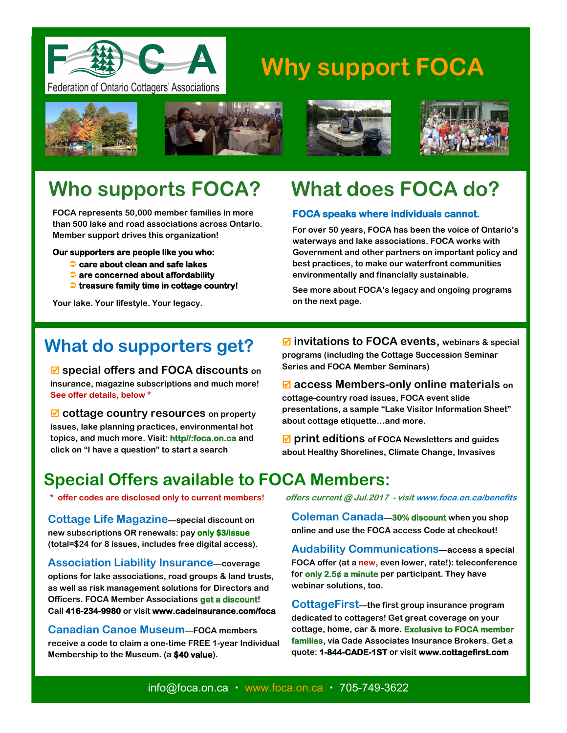

# **Why support FOCA**





**FOCA represents 50,000 member families in more than 500 lake and road associations across Ontario. Member support drives this organization!** 

**Our supporters are people like you who:** 

- **care about clean and safe lakes**
- **are concerned about affordability**
- **treasure family time in cottage country!**

**Your lake. Your lifestyle. Your legacy.** 





# **What does FOCA do?**

#### **FOCA speaks where individuals cannot.**

**For over 50 years, FOCA has been the voice of Ontario's waterways and lake associations. FOCA works with Government and other partners on important policy and best practices, to make our waterfront communities environmentally and financially sustainable.** 

**See more about FOCA's legacy and ongoing programs on the next page.** 

# **What do supporters get?**

 **special offers and FOCA discounts on insurance, magazine subscriptions and much more! See offer details, below \*** 

 **cottage country resources on property issues, lake planning practices, environmental hot topics, and much more. Visit: http//:foca.on.ca and click on "I have a question" to start a search**

 **invitations to FOCA events, webinars & special programs (including the Cottage Succession Seminar Series and FOCA Member Seminars)** 

 **access Members-only online materials on cottage-country road issues, FOCA event slide presentations, a sample "Lake Visitor Information Sheet" about cottage etiquette…and more.**

 **print editions of FOCA Newsletters and guides about Healthy Shorelines, Climate Change, Invasives**

# **Special Offers available to FOCA Members:**

**Cottage Life Magazine—special discount on new subscriptions OR renewals: pay only \$3/issue (total=\$24 for 8 issues, includes free digital access).** 

**Association Liability Insurance—coverage options for lake associations, road groups & land trusts, as well as risk management solutions for Directors and Officers. FOCA Member Associations get a discount! Call 416-234-9980 or visit www.cadeinsurance.com/foca**

**Canadian Canoe Museum—FOCA members receive a code to claim a one-time FREE 1-year Individual Membership to the Museum. (a \$40 value).** 

 **\* offer codes are disclosed only to current members! offers current @ Jul.2017 - visit www.foca.on.ca/benefits**

**Coleman Canada—30% discount when you shop online and use the FOCA access Code at checkout!** 

**Audability Communications—access a special FOCA offer (at a new, even lower, rate!): teleconference for only 2.5¢ a minute per participant. They have webinar solutions, too.**

**CottageFirst—the first group insurance program dedicated to cottagers! Get great coverage on your cottage, home, car & more. Exclusive to FOCA member families, via Cade Associates Insurance Brokers. Get a quote: 1-844-CADE-1ST or visit www.cottagefirst.com**